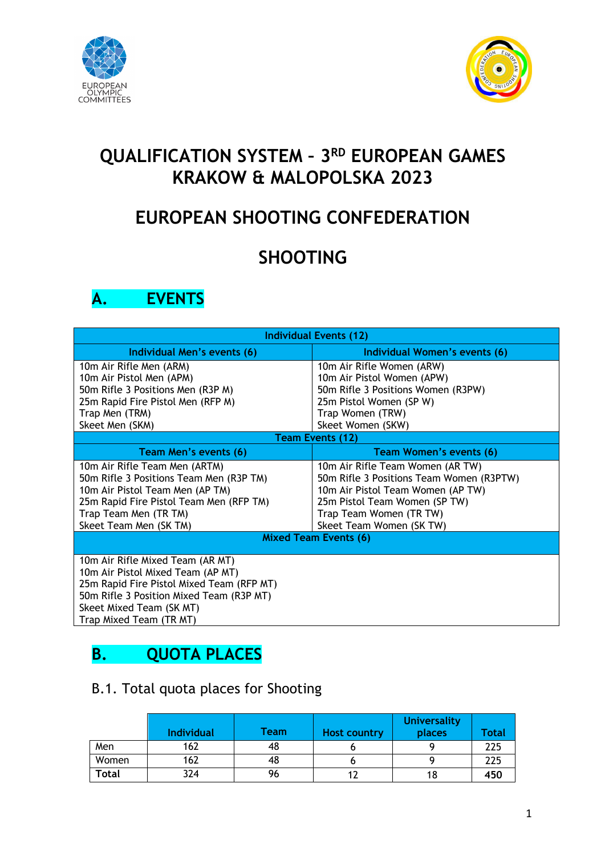



# **QUALIFICATION SYSTEM – 3RD EUROPEAN GAMES KRAKOW & MALOPOLSKA 2023**

# **EUROPEAN SHOOTING CONFEDERATION**

# **SHOOTING**

## **A. EVENTS**

| <b>Individual Events (12)</b>             |                                          |  |  |  |  |  |
|-------------------------------------------|------------------------------------------|--|--|--|--|--|
| Individual Men's events (6)               | Individual Women's events (6)            |  |  |  |  |  |
| 10m Air Rifle Men (ARM)                   | 10m Air Rifle Women (ARW)                |  |  |  |  |  |
| 10m Air Pistol Men (APM)                  | 10m Air Pistol Women (APW)               |  |  |  |  |  |
| 50m Rifle 3 Positions Men (R3P M)         | 50m Rifle 3 Positions Women (R3PW)       |  |  |  |  |  |
| 25m Rapid Fire Pistol Men (RFP M)         | 25m Pistol Women (SP W)                  |  |  |  |  |  |
| Trap Men (TRM)                            | Trap Women (TRW)                         |  |  |  |  |  |
| Skeet Men (SKM)                           | Skeet Women (SKW)                        |  |  |  |  |  |
|                                           | <b>Team Events (12)</b>                  |  |  |  |  |  |
| Team Men's events (6)                     | <b>Team Women's events (6)</b>           |  |  |  |  |  |
| 10m Air Rifle Team Men (ARTM)             | 10m Air Rifle Team Women (AR TW)         |  |  |  |  |  |
| 50m Rifle 3 Positions Team Men (R3P TM)   | 50m Rifle 3 Positions Team Women (R3PTW) |  |  |  |  |  |
| 10m Air Pistol Team Men (AP TM)           | 10m Air Pistol Team Women (AP TW)        |  |  |  |  |  |
| 25m Rapid Fire Pistol Team Men (RFP TM)   | 25m Pistol Team Women (SP TW)            |  |  |  |  |  |
| Trap Team Men (TR TM)                     | Trap Team Women (TR TW)                  |  |  |  |  |  |
| Skeet Team Men (SK TM)                    | Skeet Team Women (SK TW)                 |  |  |  |  |  |
|                                           | <b>Mixed Team Events (6)</b>             |  |  |  |  |  |
| 10m Air Rifle Mixed Team (AR MT)          |                                          |  |  |  |  |  |
| 10m Air Pistol Mixed Team (AP MT)         |                                          |  |  |  |  |  |
| 25m Rapid Fire Pistol Mixed Team (RFP MT) |                                          |  |  |  |  |  |
| 50m Rifle 3 Position Mixed Team (R3P MT)  |                                          |  |  |  |  |  |
| Skeet Mixed Team (SK MT)                  |                                          |  |  |  |  |  |
| Trap Mixed Team (TR MT)                   |                                          |  |  |  |  |  |

## **B. QUOTA PLACES**

### B.1. Total quota places for Shooting

|              | <b>Individual</b> | <b>Team</b> | Host country | <b>Universality</b><br>places | <b>Total</b> |
|--------------|-------------------|-------------|--------------|-------------------------------|--------------|
| Men          | 162               | 48          |              |                               | 225          |
| Women        | 162               | 48          |              |                               | 225          |
| <b>Total</b> | 324               | 96          |              | 18                            | 450          |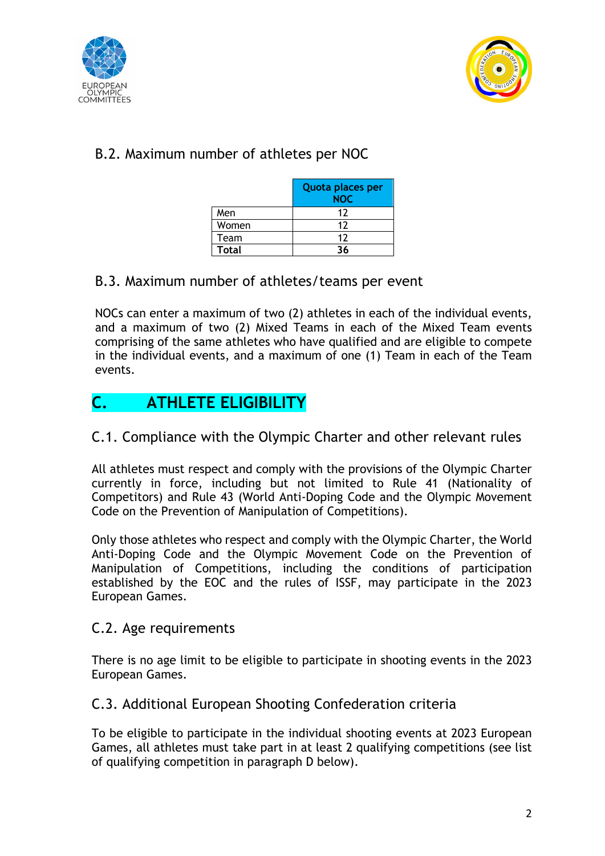



### B.2. Maximum number of athletes per NOC

|              | Quota places per<br><b>NOC</b> |
|--------------|--------------------------------|
| Men          | 12                             |
| Women        | 17                             |
| Team         | 12                             |
| <b>Total</b> | 36                             |

### B.3. Maximum number of athletes/teams per event

NOCs can enter a maximum of two (2) athletes in each of the individual events, and a maximum of two (2) Mixed Teams in each of the Mixed Team events comprising of the same athletes who have qualified and are eligible to compete in the individual events, and a maximum of one (1) Team in each of the Team events.

### **C. ATHLETE ELIGIBILITY**

### C.1. Compliance with the Olympic Charter and other relevant rules

All athletes must respect and comply with the provisions of the Olympic Charter currently in force, including but not limited to Rule 41 (Nationality of Competitors) and Rule 43 (World Anti-Doping Code and the Olympic Movement Code on the Prevention of Manipulation of Competitions).

Only those athletes who respect and comply with the Olympic Charter, the World Anti-Doping Code and the Olympic Movement Code on the Prevention of Manipulation of Competitions, including the conditions of participation established by the EOC and the rules of ISSF, may participate in the 2023 European Games.

#### C.2. Age requirements

There is no age limit to be eligible to participate in shooting events in the 2023 European Games.

### C.3. Additional European Shooting Confederation criteria

To be eligible to participate in the individual shooting events at 2023 European Games, all athletes must take part in at least 2 qualifying competitions (see list of qualifying competition in paragraph D below).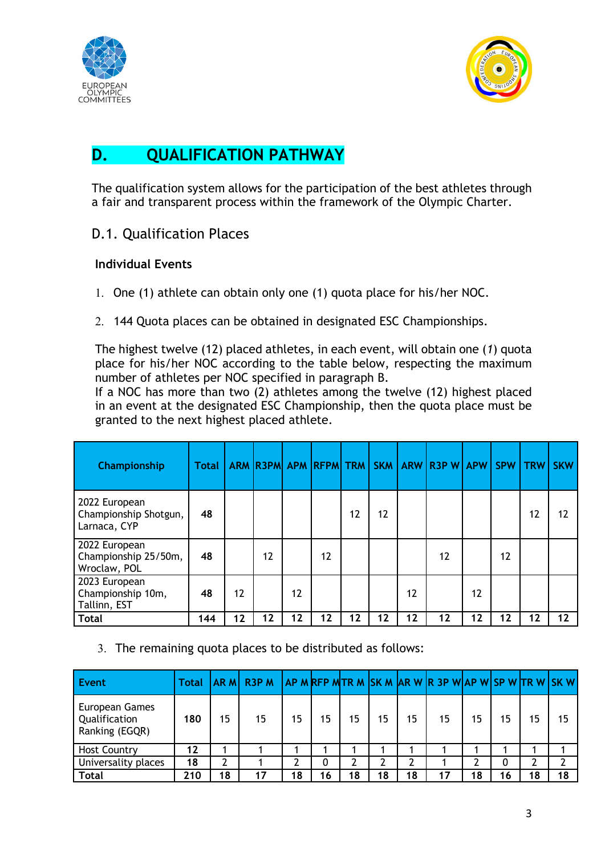



## **D. QUALIFICATION PATHWAY**

The qualification system allows for the participation of the best athletes through a fair and transparent process within the framework of the Olympic Charter.

D.1. Qualification Places

#### **Individual Events**

- 1. One (1) athlete can obtain only one (1) quota place for his/her NOC.
- 2. 144 Quota places can be obtained in designated ESC Championships.

The highest twelve (12) placed athletes, in each event, will obtain one (*1*) quota place for his/her NOC according to the table below, respecting the maximum number of athletes per NOC specified in paragraph B.

If a NOC has more than two (2) athletes among the twelve (12) highest placed in an event at the designated ESC Championship, then the quota place must be granted to the next highest placed athlete.

| Championship                                           | <b>Total</b> |    | <b>ARM R3PM</b> |    | APM RFPM TRM      |    | <b>SKM</b> | ARW | <b>R3PW</b> | APW | <b>SPW</b> | <b>TRW</b> | <b>SKW</b> |
|--------------------------------------------------------|--------------|----|-----------------|----|-------------------|----|------------|-----|-------------|-----|------------|------------|------------|
| 2022 European<br>Championship Shotgun,<br>Larnaca, CYP | 48           |    |                 |    |                   | 12 | 12         |     |             |     |            | 12         | 12         |
| 2022 European<br>Championship 25/50m,<br>Wroclaw, POL  | 48           |    | 12              |    | $12 \overline{ }$ |    |            |     | 12          |     | 12         |            |            |
| 2023 European<br>Championship 10m,<br>Tallinn, EST     | 48           | 12 |                 | 12 |                   |    |            | 12  |             | 12  |            |            |            |
| <b>Total</b>                                           | 144          | 12 | 12              | 12 | 12                | 12 | 12         | 12  | 12          | 12  | 12         | 12         | 12         |

3. The remaining quota places to be distributed as follows:

| Event                                                    | <b>Total</b> |    | IAR MI R3P M |    |    |    |    |    | <b>LAP MRFP MTR M SK M AR W R 3P WAP WISP WTR WISK W</b> |    |    |    |    |
|----------------------------------------------------------|--------------|----|--------------|----|----|----|----|----|----------------------------------------------------------|----|----|----|----|
| <b>European Games</b><br>Qualification<br>Ranking (EGQR) | 180          | 15 | 15           | 15 | 15 | 15 | 15 | 15 | 15                                                       | 15 | 15 | 15 | 15 |
| <b>Host Country</b>                                      | 12           |    |              |    |    |    |    |    |                                                          |    |    |    |    |
| Universality places                                      | 18           | າ  |              |    | 0  | ำ  |    | າ  |                                                          |    | 0  | ົ  |    |
| <b>Total</b>                                             | 210          | 18 | 17           | 18 | 16 | 18 | 18 | 18 | 17                                                       | 18 | 16 | 18 | 18 |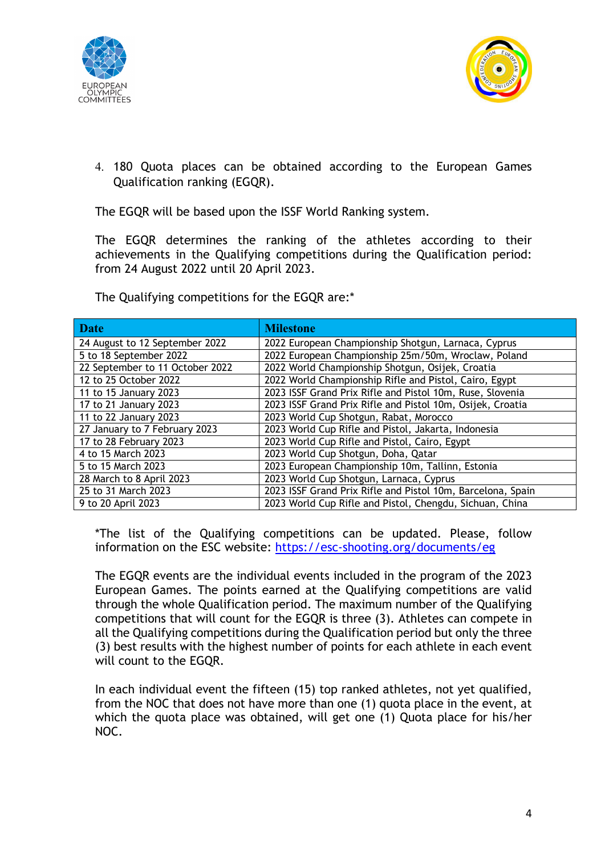



4. 180 Quota places can be obtained according to the European Games Qualification ranking (EGQR).

The EGQR will be based upon the ISSF World Ranking system.

The EGQR determines the ranking of the athletes according to their achievements in the Qualifying competitions during the Qualification period: from 24 August 2022 until 20 April 2023.

The Qualifying competitions for the EGQR are:\*

| <b>Date</b>                     | <b>Milestone</b>                                            |
|---------------------------------|-------------------------------------------------------------|
| 24 August to 12 September 2022  | 2022 European Championship Shotgun, Larnaca, Cyprus         |
| 5 to 18 September 2022          | 2022 European Championship 25m/50m, Wroclaw, Poland         |
| 22 September to 11 October 2022 | 2022 World Championship Shotgun, Osijek, Croatia            |
| 12 to 25 October 2022           | 2022 World Championship Rifle and Pistol, Cairo, Egypt      |
| 11 to 15 January 2023           | 2023 ISSF Grand Prix Rifle and Pistol 10m, Ruse, Slovenia   |
| 17 to 21 January 2023           | 2023 ISSF Grand Prix Rifle and Pistol 10m, Osijek, Croatia  |
| 11 to 22 January 2023           | 2023 World Cup Shotgun, Rabat, Morocco                      |
| 27 January to 7 February 2023   | 2023 World Cup Rifle and Pistol, Jakarta, Indonesia         |
| 17 to 28 February 2023          | 2023 World Cup Rifle and Pistol, Cairo, Egypt               |
| 4 to 15 March 2023              | 2023 World Cup Shotgun, Doha, Qatar                         |
| 5 to 15 March 2023              | 2023 European Championship 10m, Tallinn, Estonia            |
| 28 March to 8 April 2023        | 2023 World Cup Shotgun, Larnaca, Cyprus                     |
| 25 to 31 March 2023             | 2023 ISSF Grand Prix Rifle and Pistol 10m, Barcelona, Spain |
| 9 to 20 April 2023              | 2023 World Cup Rifle and Pistol, Chengdu, Sichuan, China    |

\*The list of the Qualifying competitions can be updated. Please, follow information on the ESC website: https://esc-shooting.org/documents/eg

The EGQR events are the individual events included in the program of the 2023 European Games. The points earned at the Qualifying competitions are valid through the whole Qualification period. The maximum number of the Qualifying competitions that will count for the EGQR is three (3). Athletes can compete in all the Qualifying competitions during the Qualification period but only the three (3) best results with the highest number of points for each athlete in each event will count to the EGQR.

In each individual event the fifteen (15) top ranked athletes, not yet qualified, from the NOC that does not have more than one (1) quota place in the event, at which the quota place was obtained, will get one (1) Quota place for his/her NOC.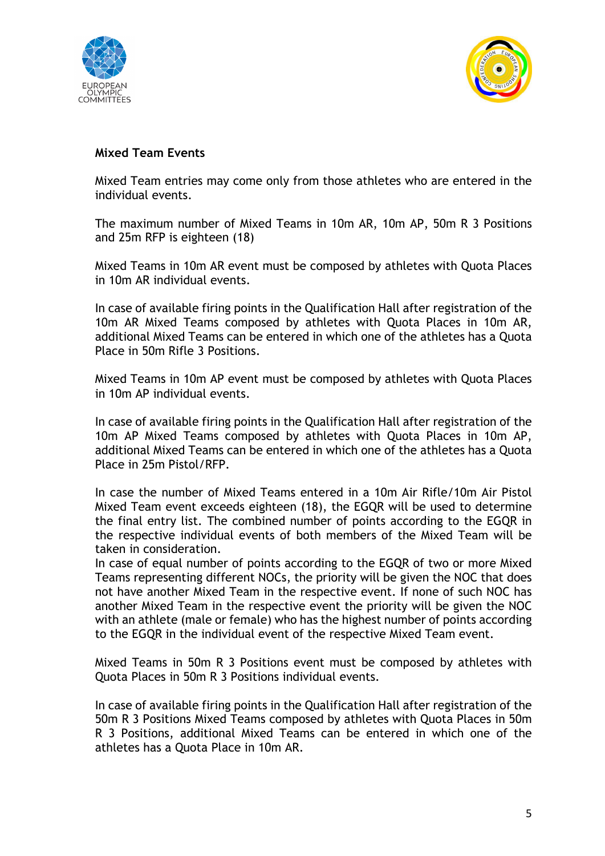



#### **Mixed Team Events**

Mixed Team entries may come only from those athletes who are entered in the individual events.

The maximum number of Mixed Teams in 10m AR, 10m AP, 50m R 3 Positions and 25m RFP is eighteen (18)

Mixed Teams in 10m AR event must be composed by athletes with Quota Places in 10m AR individual events.

In case of available firing points in the Qualification Hall after registration of the 10m AR Mixed Teams composed by athletes with Quota Places in 10m AR, additional Mixed Teams can be entered in which one of the athletes has a Quota Place in 50m Rifle 3 Positions.

Mixed Teams in 10m AP event must be composed by athletes with Quota Places in 10m AP individual events.

In case of available firing points in the Qualification Hall after registration of the 10m AP Mixed Teams composed by athletes with Quota Places in 10m AP, additional Mixed Teams can be entered in which one of the athletes has a Quota Place in 25m Pistol/RFP.

In case the number of Mixed Teams entered in a 10m Air Rifle/10m Air Pistol Mixed Team event exceeds eighteen (18), the EGQR will be used to determine the final entry list. The combined number of points according to the EGQR in the respective individual events of both members of the Mixed Team will be taken in consideration.

In case of equal number of points according to the EGQR of two or more Mixed Teams representing different NOCs, the priority will be given the NOC that does not have another Mixed Team in the respective event. If none of such NOC has another Mixed Team in the respective event the priority will be given the NOC with an athlete (male or female) who has the highest number of points according to the EGQR in the individual event of the respective Mixed Team event.

Mixed Teams in 50m R 3 Positions event must be composed by athletes with Quota Places in 50m R 3 Positions individual events.

In case of available firing points in the Qualification Hall after registration of the 50m R 3 Positions Mixed Teams composed by athletes with Quota Places in 50m R 3 Positions, additional Mixed Teams can be entered in which one of the athletes has a Quota Place in 10m AR.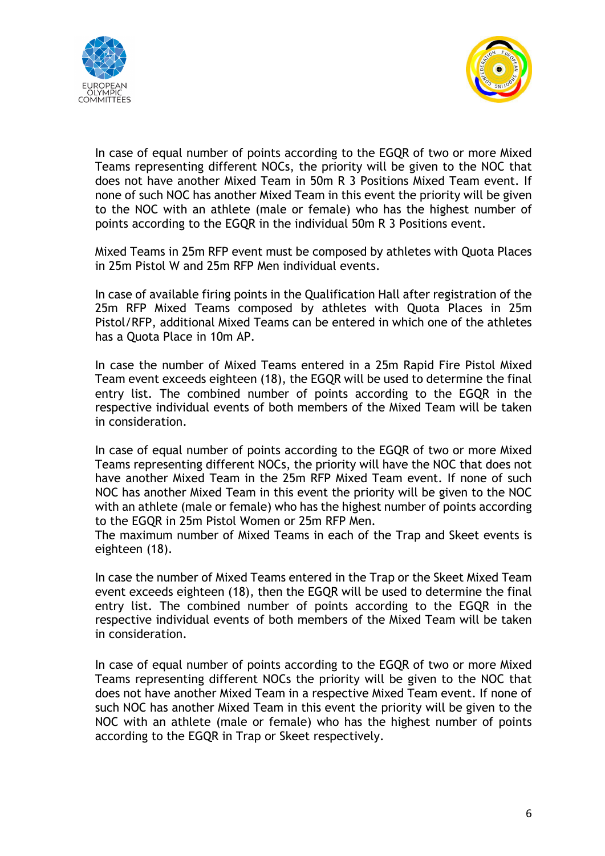



In case of equal number of points according to the EGQR of two or more Mixed Teams representing different NOCs, the priority will be given to the NOC that does not have another Mixed Team in 50m R 3 Positions Mixed Team event. If none of such NOC has another Mixed Team in this event the priority will be given to the NOC with an athlete (male or female) who has the highest number of points according to the EGQR in the individual 50m R 3 Positions event.

Mixed Teams in 25m RFP event must be composed by athletes with Quota Places in 25m Pistol W and 25m RFP Men individual events.

In case of available firing points in the Qualification Hall after registration of the 25m RFP Mixed Teams composed by athletes with Quota Places in 25m Pistol/RFP, additional Mixed Teams can be entered in which one of the athletes has a Quota Place in 10m AP.

In case the number of Mixed Teams entered in a 25m Rapid Fire Pistol Mixed Team event exceeds eighteen (18), the EGQR will be used to determine the final entry list. The combined number of points according to the EGQR in the respective individual events of both members of the Mixed Team will be taken in consideration.

In case of equal number of points according to the EGQR of two or more Mixed Teams representing different NOCs, the priority will have the NOC that does not have another Mixed Team in the 25m RFP Mixed Team event. If none of such NOC has another Mixed Team in this event the priority will be given to the NOC with an athlete (male or female) who has the highest number of points according to the EGQR in 25m Pistol Women or 25m RFP Men.

The maximum number of Mixed Teams in each of the Trap and Skeet events is eighteen (18).

In case the number of Mixed Teams entered in the Trap or the Skeet Mixed Team event exceeds eighteen (18), then the EGQR will be used to determine the final entry list. The combined number of points according to the EGQR in the respective individual events of both members of the Mixed Team will be taken in consideration.

In case of equal number of points according to the EGQR of two or more Mixed Teams representing different NOCs the priority will be given to the NOC that does not have another Mixed Team in a respective Mixed Team event. If none of such NOC has another Mixed Team in this event the priority will be given to the NOC with an athlete (male or female) who has the highest number of points according to the EGQR in Trap or Skeet respectively.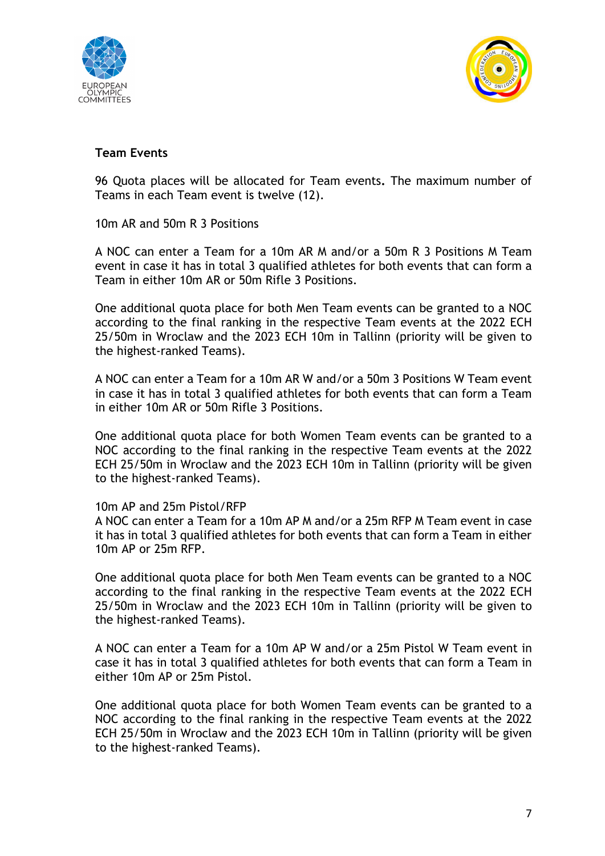



#### **Team Events**

96 Quota places will be allocated for Team events**.** The maximum number of Teams in each Team event is twelve (12).

10m AR and 50m R 3 Positions

A NOC can enter a Team for a 10m AR M and/or a 50m R 3 Positions M Team event in case it has in total 3 qualified athletes for both events that can form a Team in either 10m AR or 50m Rifle 3 Positions.

One additional quota place for both Men Team events can be granted to a NOC according to the final ranking in the respective Team events at the 2022 ECH 25/50m in Wroclaw and the 2023 ECH 10m in Tallinn (priority will be given to the highest-ranked Teams).

A NOC can enter a Team for a 10m AR W and/or a 50m 3 Positions W Team event in case it has in total 3 qualified athletes for both events that can form a Team in either 10m AR or 50m Rifle 3 Positions.

One additional quota place for both Women Team events can be granted to a NOC according to the final ranking in the respective Team events at the 2022 ECH 25/50m in Wroclaw and the 2023 ECH 10m in Tallinn (priority will be given to the highest-ranked Teams).

#### 10m AP and 25m Pistol/RFP

A NOC can enter a Team for a 10m AP M and/or a 25m RFP M Team event in case it has in total 3 qualified athletes for both events that can form a Team in either 10m AP or 25m RFP.

One additional quota place for both Men Team events can be granted to a NOC according to the final ranking in the respective Team events at the 2022 ECH 25/50m in Wroclaw and the 2023 ECH 10m in Tallinn (priority will be given to the highest-ranked Teams).

A NOC can enter a Team for a 10m AP W and/or a 25m Pistol W Team event in case it has in total 3 qualified athletes for both events that can form a Team in either 10m AP or 25m Pistol.

One additional quota place for both Women Team events can be granted to a NOC according to the final ranking in the respective Team events at the 2022 ECH 25/50m in Wroclaw and the 2023 ECH 10m in Tallinn (priority will be given to the highest-ranked Teams).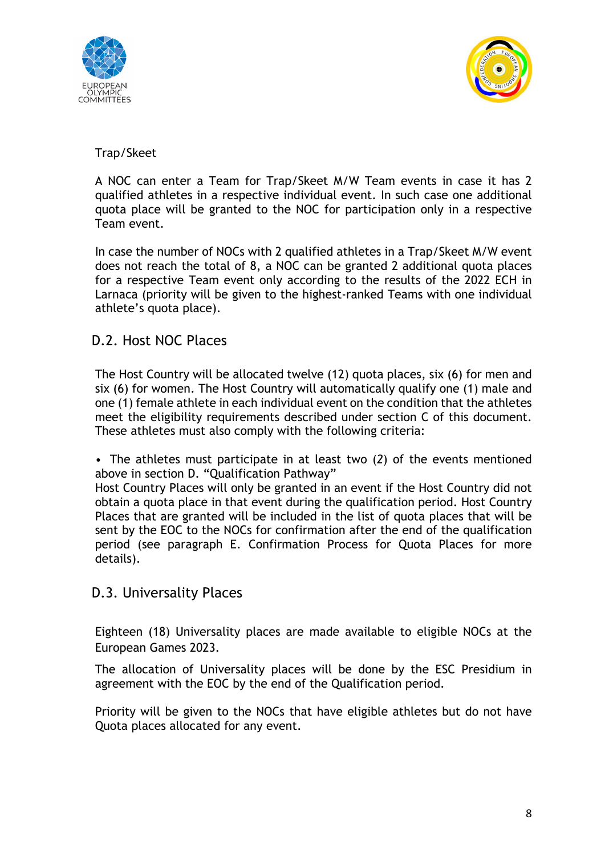



#### Trap/Skeet

A NOC can enter a Team for Trap/Skeet M/W Team events in case it has 2 qualified athletes in a respective individual event. In such case one additional quota place will be granted to the NOC for participation only in a respective Team event.

In case the number of NOCs with 2 qualified athletes in a Trap/Skeet M/W event does not reach the total of 8, a NOC can be granted 2 additional quota places for a respective Team event only according to the results of the 2022 ECH in Larnaca (priority will be given to the highest-ranked Teams with one individual athlete's quota place).

#### D.2. Host NOC Places

The Host Country will be allocated twelve (12) quota places, six (6) for men and six (6) for women. The Host Country will automatically qualify one (1) male and one (1) female athlete in each individual event on the condition that the athletes meet the eligibility requirements described under section C of this document. These athletes must also comply with the following criteria:

• The athletes must participate in at least two (*2*) of the events mentioned above in section D. "Qualification Pathway"

Host Country Places will only be granted in an event if the Host Country did not obtain a quota place in that event during the qualification period. Host Country Places that are granted will be included in the list of quota places that will be sent by the EOC to the NOCs for confirmation after the end of the qualification period (see paragraph E. Confirmation Process for Quota Places for more details).

#### D.3. Universality Places

Eighteen (18) Universality places are made available to eligible NOCs at the European Games 2023.

The allocation of Universality places will be done by the ESC Presidium in agreement with the EOC by the end of the Qualification period.

Priority will be given to the NOCs that have eligible athletes but do not have Quota places allocated for any event.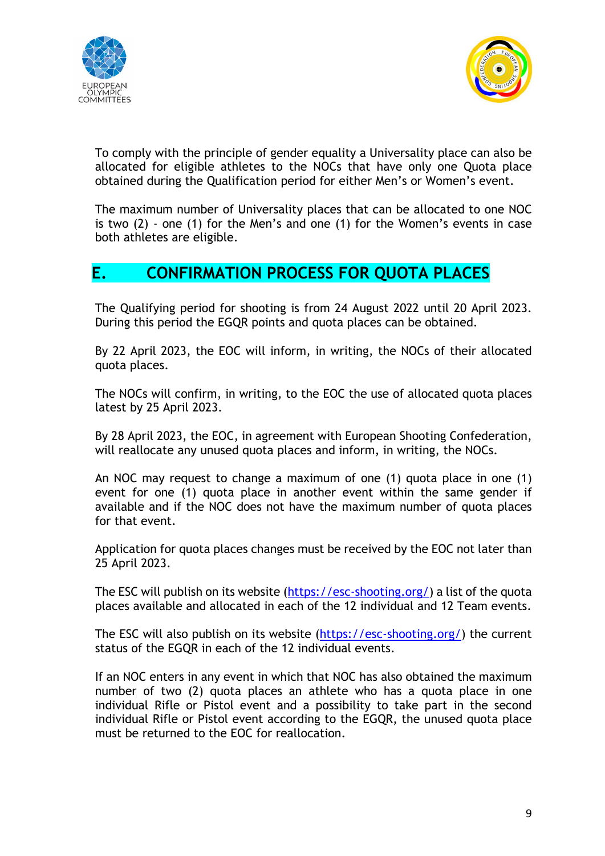



To comply with the principle of gender equality a Universality place can also be allocated for eligible athletes to the NOCs that have only one Quota place obtained during the Qualification period for either Men's or Women's event.

The maximum number of Universality places that can be allocated to one NOC is two (2) - one (1) for the Men's and one (1) for the Women's events in case both athletes are eligible.

### **E. CONFIRMATION PROCESS FOR QUOTA PLACES**

The Qualifying period for shooting is from 24 August 2022 until 20 April 2023. During this period the EGQR points and quota places can be obtained.

By 22 April 2023, the EOC will inform, in writing, the NOCs of their allocated quota places.

The NOCs will confirm, in writing, to the EOC the use of allocated quota places latest by 25 April 2023.

By 28 April 2023, the EOC, in agreement with European Shooting Confederation, will reallocate any unused quota places and inform, in writing, the NOCs.

An NOC may request to change a maximum of one (1) quota place in one (1) event for one (1) quota place in another event within the same gender if available and if the NOC does not have the maximum number of quota places for that event.

Application for quota places changes must be received by the EOC not later than 25 April 2023.

The ESC will publish on its website (https://esc-shooting.org/) a list of the quota places available and allocated in each of the 12 individual and 12 Team events.

The ESC will also publish on its website (https://esc-shooting.org/) the current status of the EGQR in each of the 12 individual events.

If an NOC enters in any event in which that NOC has also obtained the maximum number of two (2) quota places an athlete who has a quota place in one individual Rifle or Pistol event and a possibility to take part in the second individual Rifle or Pistol event according to the EGQR, the unused quota place must be returned to the EOC for reallocation.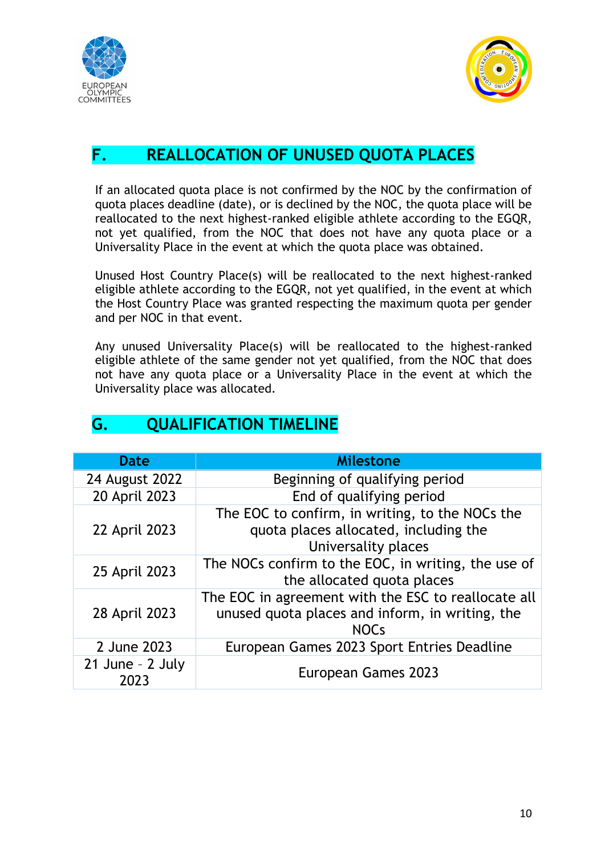



## **F. REALLOCATION OF UNUSED QUOTA PLACES**

If an allocated quota place is not confirmed by the NOC by the confirmation of quota places deadline (date), or is declined by the NOC, the quota place will be reallocated to the next highest-ranked eligible athlete according to the EGQR, not yet qualified, from the NOC that does not have any quota place or a Universality Place in the event at which the quota place was obtained.

Unused Host Country Place(s) will be reallocated to the next highest-ranked eligible athlete according to the EGQR, not yet qualified, in the event at which the Host Country Place was granted respecting the maximum quota per gender and per NOC in that event.

Any unused Universality Place(s) will be reallocated to the highest-ranked eligible athlete of the same gender not yet qualified, from the NOC that does not have any quota place or a Universality Place in the event at which the Universality place was allocated.

| <b>Date</b>                  | <b>Milestone</b>                                                                                                      |
|------------------------------|-----------------------------------------------------------------------------------------------------------------------|
| 24 August 2022               | Beginning of qualifying period                                                                                        |
| 20 April 2023                | End of qualifying period                                                                                              |
| 22 April 2023                | The EOC to confirm, in writing, to the NOCs the<br>quota places allocated, including the<br>Universality places       |
| 25 April 2023                | The NOCs confirm to the EOC, in writing, the use of<br>the allocated quota places                                     |
| 28 April 2023                | The EOC in agreement with the ESC to reallocate all<br>unused quota places and inform, in writing, the<br><b>NOCs</b> |
| 2 June 2023                  | European Games 2023 Sport Entries Deadline                                                                            |
| $21$ June - $2$ July<br>2023 | European Games 2023                                                                                                   |

## **G. QUALIFICATION TIMELINE**